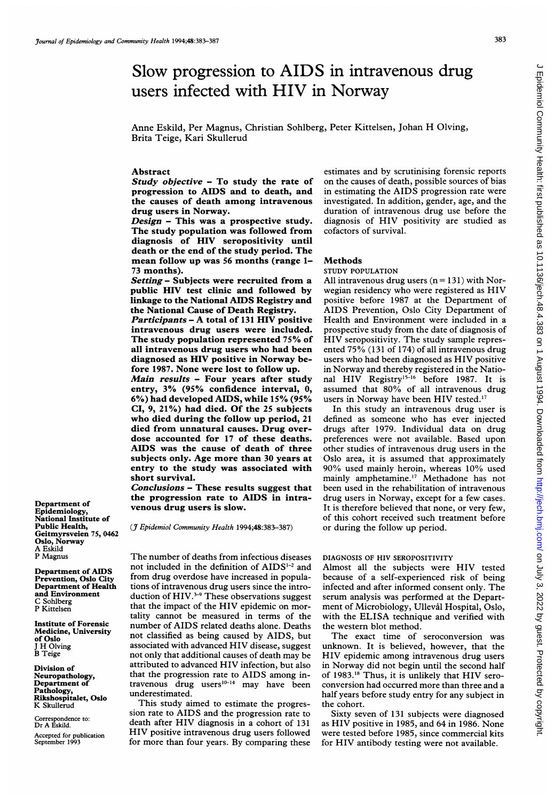# Slow progression to AIDS in intravenous drug users infected with HIV in Norway

Anne Eskild, Per Magnus, Christian Sohlberg, Peter Kittelsen, Johan H Olving, Brita Teige, Kari Skullerud

# Abstract

Study objective - To study the rate of progression to AIDS and to death, and the causes of death among intravenous drug users in Norway.

Design - This was a prospective study. The study population was followed from diagnosis of HIV seropositivity until death or the end of the study period. The mean follow up was 56 months (range 1- 73 months).

Setting - Subjects were recruited from a public HIV test clinic and followed by linkage to the National AIDS Registry and the National Cause of Death Registry.

Participants - A total of <sup>131</sup> HIV positive intravenous drug users were included. The study population represented 75% of all intravenous drug users who had been diagnosed as HIV positive in Norway before 1987. None were lost to follow up.

Main results - Four years after study entry, 3% (95% confidence interval, 0, 6%) had developed AIDS, while 15% (95% CI, 9, 21%) had died. Of the 25 subjects who died during the follow up period, <sup>21</sup> died from unnatural causes. Drug overdose accounted for 17 of these deaths. AIDS was the cause of death of three subjects only. Age more than 30 years at entry to the study was associated with short survival.

Conclusions - These results suggest that the progression rate to AIDS in intravenous drug users is slow.

(J7 Epidemiol Community Health 1994;48:383-387)

The number of deaths from infectious diseases not included in the definition of AIDS<sup>1-2</sup> and from drug overdose have increased in populations of intravenous drug users since the introduction of  $HIV.^{3-9}$  These observations suggest that the impact of the HIV epidemic on mortality cannot be measured in terms of the number of AIDS related deaths alone. Deaths not classified as being caused by AIDS, but associated with advanced HIV disease, suggest not only that additional causes of death may be attributed to advanced HIV infection, but also that the progression rate to AIDS among intravenous drug users<sup>10-14</sup> may have been underestimated.

This study aimed to estimate the progression rate to AIDS and the progression rate to death after HIV diagnosis in <sup>a</sup> cohort of <sup>131</sup> HIV positive intravenous drug users followed for more than four years. By comparing these

estimates and by scrutinising forensic reports on the causes of death, possible sources of bias in estimating the AIDS progression rate were investigated. In addition, gender, age, and the duration of intravenous drug use before the diagnosis of HIV positivity are studied as cofactors of survival.

## Methods

STUDY POPULATION

All intravenous drug users  $(n = 131)$  with Norwegian residency who were registered as HIV positive before 1987 at the Department of AIDS Prevention, Oslo City Department of Health and Environment were included in a prospective study from the date of diagnosis of HIV seropositivity. The study sample represented 75% (131 of 174) of all intravenous drug users who had been diagnosed as HIV positive in Norway and thereby registered in the National HIV Registry<sup>15-16</sup> before 1987. It is assumed that 80% of all intravenous drug users in Norway have been HIV tested.<sup>17</sup>

In this study an intravenous drug user is defined as someone who has ever injected drugs after 1979. Individual data on drug preferences were not available. Based upon other studies of intravenous drug users in the Oslo area, it is assumed that approximately 90% used mainly heroin, whereas 10% used mainly amphetamine.'7 Methadone has not been used in the rehabilitation of intravenous drug users in Norway, except for a few cases. It is therefore believed that none, or very few, of this cohort received such treatment before or during the follow up period.

# DIAGNOSIS OF HIV SEROPOSITIVITY

Almost all the subjects were HIV tested because of a self-experienced risk of being infected and after informed consent only. The serum analysis was performed at the Department of Microbiology, Ullevål Hospital, Oslo, with the ELISA technique and verified with the western blot method.

The exact time of seroconversion was unknown. It is believed, however, that the HIV epidemic among intravenous drug users in Norway did not begin until the second half of 1983.<sup>18</sup> Thus, it is unlikely that HIV seroconversion had occurred more than three and a half years before study entry for any subject in the cohort.

Sixty seven of 131 subjects were diagnosed as HIV positive in 1985, and 64 in 1986. None were tested before 1985, since commercial kits for HIV antibody testing were not available.

Department of Epidemiology, National Institute of Public Health, Geitmyrsveien 75, 0462 Oslo, Norway A Eskild P Magnus

Department of AIDS Prevention, Oslo City Department of Health and Environment C Sohlberg P Kittelsen

Institute of Forensic Medicine, University of Oslo H Olving B Teige

Division of Neuropathology, Department of Pathology, Rikshospitalet, Oslo K Skullerud

Correspondence to: Dr A Eskild. Accepted for publication September 1993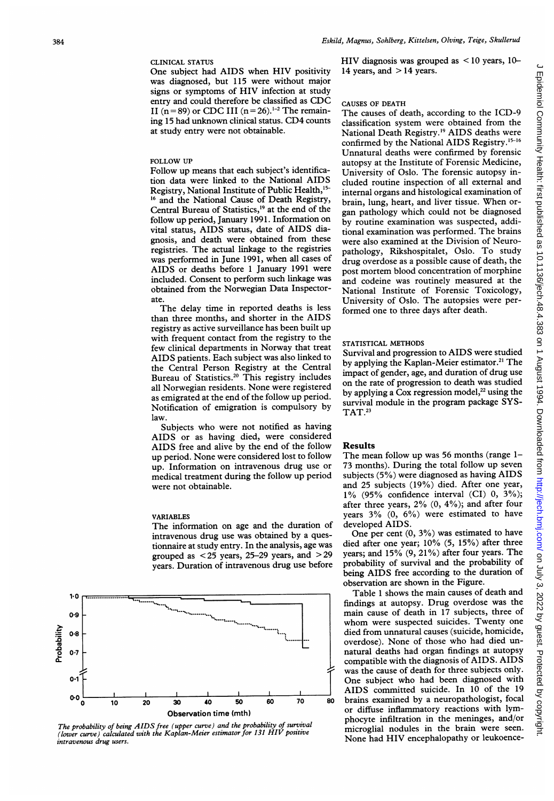### CLINICAL STATUS

One subject had AIDS when HIV positivity was diagnosed, but 115 were without major signs or symptoms of HIV infection at study entry and could therefore be classified as CDC II (n = 89) or CDC III (n = 26).<sup>1-2</sup> The remaining <sup>15</sup> had unknown clinical status. CD4 counts at study entry were not obtainable.

# FOLLOW UP

Follow up means that each subject's identification data were linked to the National AIDS Registry, National Institute of Public Health,<sup>15-</sup> <sup>16</sup> and the National Cause of Death Registry, Central Bureau of Statistics,'9 at the end of the follow up period, January 1991. Information on vital status, AIDS status, date of AIDS diagnosis, and death were obtained from these registries. The actual linkage to the registries was performed in June 1991, when all cases of AIDS or deaths before <sup>1</sup> January <sup>1991</sup> were included. Consent to perform such linkage was obtained from the Norwegian Data Inspectorate.

The delay time in reported deaths is less than three months, and shorter in the AIDS registry as active surveillance has been built up with frequent contact from the registry to the few clinical departments in Norway that treat AIDS patients. Each subject was also linked to the Central Person Registry at the Central Bureau of Statistics.20 This registry includes all Norwegian residents. None were registered as emigrated at the end of the follow up period. Notification of emigration is compulsory by law.

Subjects who were not notified as having AIDS or as having died, were considered AIDS free and alive by the end of the follow up period. None were considered lost to follow up. Information on intravenous drug use or medical treatment during the follow up period were not obtainable.

#### VARIABLES

The information on age and the duration of intravenous drug use was obtained by a questionnaire at study entry. In the analysis, age was grouped as  $< 25$  years, 25–29 years, and  $> 29$ years. Duration of intravenous drug use before



The probability of being AIDS free (upper curve) and the probability of survival (lower curve) calculated with the Kaplan-Meier estimator for <sup>131</sup> HIV positive intravenous drug users.

HIV diagnosis was grouped as  $\leq 10$  years, 10-14 years, and  $>$  14 years.

## CAUSES OF DEATH

The causes of death, according to the ICD-9 classification system were obtained from the National Death Registry.'9 AIDS deaths were confirmed by the National AIDS Registry.<sup>15-16</sup> Unnatural deaths were confirmed by forensic autopsy at the Institute of Forensic Medicine, University of Oslo. The forensic autopsy included routine inspection of all external and internal organs and histological examination of brain, lung, heart, and liver tissue. When organ pathology which could not be diagnosed by routine examination was suspected, additional examination was performed. The brains were also examined at the Division of Neuropathology, Rikshospitalet, Oslo. To study drug overdose as a possible cause of death, the post mortem blood concentration of morphine and codeine was routinely measured at the National Institute of Forensic Toxicology, University of Oslo. The autopsies were performed one to three days after death.

## STATISTICAL METHODS

Survival and progression to AIDS were studied by applying the Kaplan-Meier estimator.<sup>21</sup> The impact of gender, age, and duration of drug use on the rate of progression to death was studied by applying a Cox regression model,<sup>22</sup> using the survival module in the program package SYS-TAT.23

#### Results

The mean follow up was 56 months (range 1-73 months). During the total follow up seven subjects (5%) were diagnosed as having AIDS and 25 subjects (19%) died. After one year, 1% (95% confidence interval (CI) 0, 3%); after three years,  $2\%$   $(0, 4\%)$ ; and after four years 3% (0, 6%) were estimated to have developed AIDS.

One per cent (0, 3%) was estimated to have died after one year; 10% (5, 15%) after three years; and 15% (9, 21%) after four years. The probability of survival and the probability of being AIDS free according to the duration of observation are shown in the Figure.

Table <sup>1</sup> shows the main causes of death and findings at autopsy. Drug overdose was the main cause of death in 17 subjects, three of whom were suspected suicides. Twenty one died from unnatural causes (suicide, homicide, overdose). None of those who had died unnatural deaths had organ findings at autopsy compatible with the diagnosis of AIDS. AIDS was the cause of death for three subjects only. One subject who had been diagnosed with AIDS committed suicide. In  $10$  of the 19 brains examined by a neuropathologist, focal or diffuse inflammatory reactions with lymphocyte infiltration in the meninges, and/or microglial nodules in the brain were seen. None had HIV encephalopathy or leukoence $\overline{C}$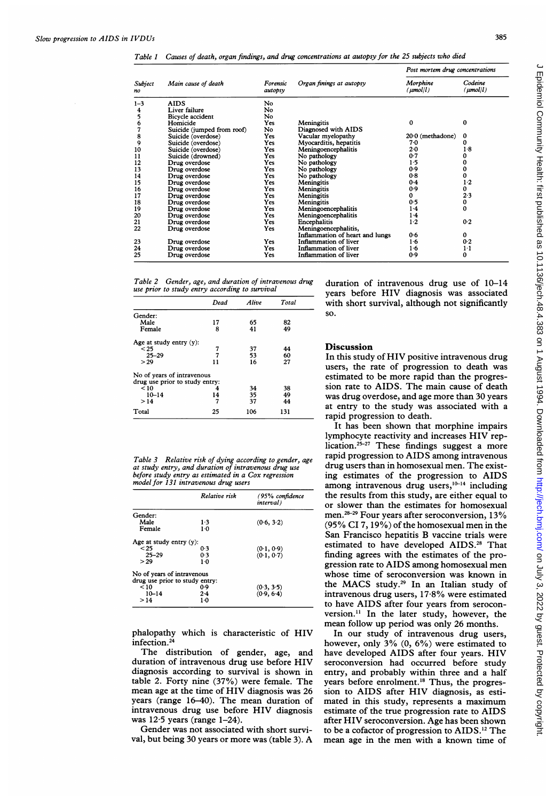Table <sup>1</sup> Causes of death, organ findings, and drug concentrations at autopsy for the 25 subjects who died

|               | Main cause of death        | Forensic<br>autopsy | Organ finings at autopsy        | Post mortem drug concentrations |                          |
|---------------|----------------------------|---------------------|---------------------------------|---------------------------------|--------------------------|
| Subject<br>no |                            |                     |                                 | Morphine<br>(µmol/l)            | Codeine<br>$(\mu mol/l)$ |
| $1 - 3$       | <b>AIDS</b>                | No                  |                                 |                                 |                          |
| 4             | Liver failure              | No.                 |                                 |                                 |                          |
| 5             | Bicycle accident           | No                  |                                 |                                 |                          |
| 6             | Homicide                   | Yes                 | Meningitis                      | 0                               | 0                        |
| 7             | Suicide (jumped from roof) | No                  | Diagnosed with AIDS             |                                 |                          |
| 8             | Suicide (overdose)         | Yes                 | Vacular myelopathy              | $20.0$ (methadone)              | 0                        |
| 9             | Suicide (overdose)         | Yes                 | Myocarditis, hepatitis          | 70                              | 0                        |
| 10            | Suicide (overdose)         | Yes                 | Meningoencephalitis             | 20                              | $1-8$                    |
| 11            | Suicide (drowned)          | Yes                 | No pathology                    | 0.7                             | 0                        |
| 12            | Drug overdose              | Yes                 | No pathology                    | $1-5$                           | 0                        |
| 13            | Drug overdose              | Yes                 | No pathology                    | 0.9                             | 0                        |
| 14            | Drug overdose              | Yes                 | No pathology                    | 0.8                             | $\mathbf 0$              |
| 15            | Drug overdose              | Yes                 | Meningitis                      | 0.4                             | $1-2$                    |
| 16            | Drug overdose              | Yes                 | <b>Meningitis</b>               | 09                              | 0                        |
| 17            | Drug overdose              | Yes                 | <b>Meningitis</b>               | 0                               | 2.3                      |
| 18            | Drug overdose              | Yes                 | Meningitis                      | 0.5                             | 0                        |
| 19            | Drug overdose              | Yes                 | Meningoencephalitis             | $1-4$                           | 0                        |
| 20            | Drug overdose              | Yes                 | Meningoencephalitis             | $1-4$                           |                          |
| 21            | Drug overdose              | Yes                 | Encephalitis                    | $1-2$                           | 0.2                      |
| 22            | Drug overdose              | Yes                 | Meningoencephalitis,            |                                 |                          |
|               |                            |                     | Inflammation of heart and lungs | 0.6                             | 0                        |
| 23            | Drug overdose              | Yes                 | Inflammation of liver           | 16                              | 0.2                      |
| 24            | Drug overdose              | Yes                 | Inflammation of liver           | $1-6$                           | $1-1$                    |
| 25            | Drug overdose              | <b>Yes</b>          | Inflammation of liver           | 0.9                             | 0                        |

| Table 2 Gender, age, and duration of intravenous drug |  |
|-------------------------------------------------------|--|
| use prior to study entry according to survival        |  |

|                                                              | Dead | Alive | Total |
|--------------------------------------------------------------|------|-------|-------|
| Gender:                                                      |      |       |       |
| Male                                                         | 17   | 65    | 82    |
| Female                                                       | 8    | 41    | 49    |
| Age at study entry $(y)$ :                                   |      |       |       |
| $25$                                                         |      | 37    | 44    |
| $25 - 29$                                                    | 7    | 53    | 60    |
| > 29                                                         | 11   | 16    | 27    |
| No of years of intravenous<br>drug use prior to study entry: |      |       |       |
| < 10                                                         | 4    | 34    | 38    |
| $10 - 14$                                                    | 14   | 35    | 49    |
|                                                              |      |       |       |
| >14                                                          | 7    | 37    | 44    |
| Total                                                        | 25   | 106   | 131   |

| Table 3 Relative risk of dying according to gender, age |  |
|---------------------------------------------------------|--|
| at study entry, and duration of intravenous drug use    |  |
| before study entry as estimated in a Cox regression     |  |
| model for 131 intravenous drug users                    |  |

|                                | Relative risk | (95% confidence<br>interval) |
|--------------------------------|---------------|------------------------------|
| Gender:                        |               |                              |
| Male                           | $1-3$         | (0.6, 3.2)                   |
| Female                         | $1-0$         |                              |
| Age at study entry $(y)$ :     |               |                              |
| $25$                           | 0.3           | (0.1, 0.9)                   |
| $25 - 29$                      | 0.3           | (0.1, 0.7)                   |
| > 29                           | $1-0$         |                              |
| No of years of intravenous     |               |                              |
| drug use prior to study entry: |               |                              |
| < 10                           | 0.9           | (0.3, 3.5)                   |
| $10 - 14$                      | 2.4           | (0.9, 6.4)                   |
| >14                            | 10            |                              |

phalopathy which is characteristic of HIV infection.24

The distribution of gender, age, and duration of intravenous drug use before HIV diagnosis according to survival is shown in table 2. Forty nine (37%) were female. The mean age at the time of HIV diagnosis was 26 years (range 16-40). The mean duration of intravenous drug use before HIV diagnosis was  $12.5$  years (range  $1-24$ ).

Gender was not associated with short survival, but being <sup>30</sup> years or more was (table 3). A duration of intravenous drug use of 10-14 years before HIV diagnosis was associated with short survival, although not significantly so.

# **Discussion**

In this study of HIV positive intravenous drug users, the rate of progression to death was estimated to be more rapid than the progression rate to AIDS. The main cause of death was drug overdose, and age more than 30 years at entry to the study was associated with a rapid progression to death.

It has been shown that morphine impairs lymphocyte reactivity and increases HIV replication.<sup>25-27</sup> These findings suggest a more rapid progression to AIDS among intravenous drug users than in homosexual men. The existing estimates of the progression to AIDS among intravenous drug users,<sup>10-14</sup> including the results from this study, are either equal to or slower than the estimates for homosexual men.<sup>28-29</sup> Four years after seroconversion,  $13\%$ (95% CI 7, 19%) of the homosexual men in the San Francisco hepatitis B vaccine trials were estimated to have developed AIDS.<sup>28</sup> That finding agrees with the estimates of the progression rate to AIDS among homosexual men whose time of seroconversion was known in the MACS study.29 In an Italian study of intravenous drug users, 17-8% were estimated to have AIDS after four years from seroconversion." In the later study, however, the mean follow up period was only 26 months.

In our study of intravenous drug users, however, only 3% (0, 6%) were estimated to have developed AIDS after four years. HIV seroconversion had occurred before study entry, and probably within three and a half years before enrolment.'8 Thus, the progression to AIDS after HIV diagnosis, as estimated in this study, represents <sup>a</sup> maximum estimate of the true progression rate to AIDS after HIV seroconversion. Age has been shown to be a cofactor of progression to AIDS.'2 The mean age in the men with <sup>a</sup> known time of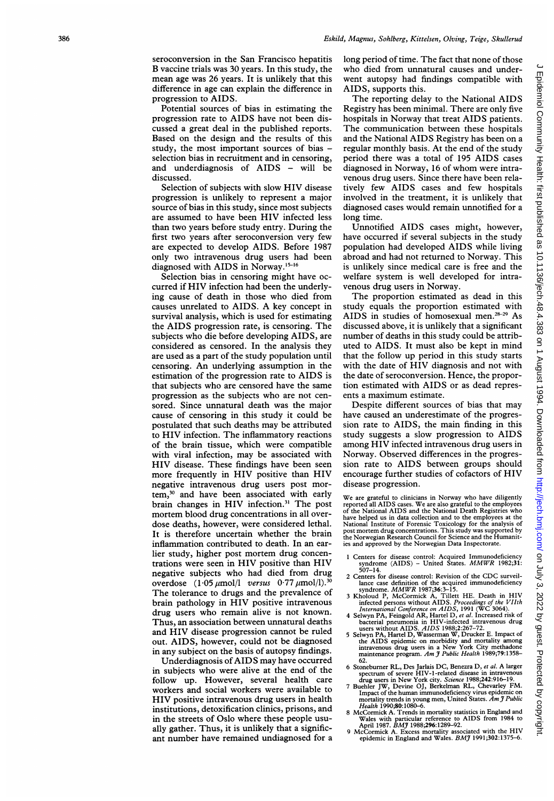seroconversion in the San Francisco hepatitis B vaccine trials was 30 years. In this study, the mean age was 26 years. It is unlikely that this difference in age can explain the difference in progression to AIDS.

Potential sources of bias in estimating the progression rate to AIDS have not been discussed a great deal in the published reports. Based on the design and the results of this study, the most important sources of bias selection bias in recruitment and in censoring, and underdiagnosis of AIDS - will be discussed.

Selection of subjects with slow HIV disease progression is unlikely to represent a major source of bias in this study, since most subjects are assumed to have been HIV infected less than two years before study entry. During the first two years after seroconversion very few are expected to develop AIDS. Before 1987 only two intravenous drug users had been diagnosed with AIDS in Norway.<sup>15-16</sup>

Selection bias in censoring might have occurred if HIV infection had been the underlying cause of death in those who died from causes unrelated to AIDS. A key concept in survival analysis, which is used for estimating the AIDS progression rate, is censoring. The subjects who die before developing AIDS, are considered as censored. In the analysis they are used as a part of the study population until censoring. An underlying assumption in the estimation of the progression rate to AIDS is that subjects who are censored have the same progression as the subjects who are not censored. Since unnatural death was the major cause of censoring in this study it could be postulated that such deaths may be attributed to HIV infection. The inflammatory reactions of the brain tissue, which were compatible with viral infection, may be associated with HIV disease. These findings have been seen more frequently in HIV positive than HIV negative intravenous drug users post mortem,<sup>30</sup> and have been associated with early brain changes in HIV infection.<sup>31</sup> The post mortem blood drug concentrations in all overdose deaths, however, were considered lethal. It is therefore uncertain whether the brain inflammation contributed to death. In an earlier study, higher post mortem drug concentrations were seen in HIV positive than HIV negative subjects who had died from drug overdose  $(1.05 \mu \text{mol/l}$  versus  $0.77 \mu \text{mol/l}.$ <sup>3</sup> The tolerance to drugs and the prevalence of brain pathology in HIV positive intravenous drug users who remain alive is not known. Thus, an association between unnatural deaths and HIV disease progression cannot be ruled out. AIDS, however, could not be diagnosed in any subject on the basis of autopsy findings.

Underdiagnosis of AIDS may have occurred in subjects who were alive at the end of the follow up. However, several health care workers and social workers were available to HIV positive intravenous drug users in health institutions, detoxification clinics, prisons, and in the streets of Oslo where these people usually gather. Thus, it is unlikely that a significant number have remained undiagnosed for <sup>a</sup> long period of time. The fact that none of those who died from unnatural causes and underwent autopsy had findings compatible with AIDS, supports this.

The reporting delay to the National AIDS Registry has been minimal. There are only five hospitals in Norway that treat AIDS patients. The communication between these hospitals and the National AIDS Registry has been on <sup>a</sup> regular monthly basis. At the end of the study period there was <sup>a</sup> total of 195 AIDS cases diagnosed in Norway, <sup>16</sup> of whom were intravenous drug users. Since there have been relatively few AIDS cases and few hospitals involved in the treatment, it is unlikely that diagnosed cases would remain unnotified for a long time.

Unnotified AIDS cases might, however, have occurred if several subjects in the study population had developed AIDS while living abroad and had not returned to Norway. This is unlikely since medical care is free and the welfare system is well developed for intravenous drug users in Norway.

The proportion estimated as dead in this study equals the proportion estimated with AIDS in studies of homosexual men.<sup>28-29</sup> As discussed above, it is unlikely that a significant number of deaths in this study could be attributed to AIDS. It must also be kept in mind that the follow up period in this study starts with the date of HIV diagnosis and not with the date of seroconversion. Hence, the proportion estimated with AIDS or as dead represents <sup>a</sup> maximum estimate.

Despite different sources of bias that may have caused an underestimate of the progression rate to AIDS, the main finding in this study suggests <sup>a</sup> slow progression to AIDS among HIV infected intravenous drug users in Norway. Observed differences in the progression rate to AIDS between groups should encourage further studies of cofactors of HIV disease progression.

We are grateful to clinicians in Norway who have diligently reported all AIDS cases. We are also grateful to the employees of the National AIDS and the National Death Registries who have helped us in data collection and to the employees at the National Institute of Forensic Toxicology for the analysis of post mortem drug concentrations. This study was supported by the Norwegian Research Council for Science and the Humanities and approved by the Norwegian Data Inspectorate.

- 1 Centers for disease control: Acquired Immunodeficiency<br>syndrome (AIDS) United States. MMWR 1982;31:<br>507–14.
- Centers for disease control: Revision of the CDC surveil-
- 
- 
- lance case definition of the acquired immunodeficiency<br>
syndrome. *MMWR* 1987;36:3-15.<br>
3 Kholoud P, McCormick A, Tillett HE. Death in HIV<br>
infected persons without AIDS. Proceedings of the VIIth<br>
thermational Conference
- 6 Stoneburner RL, Des Jarlais DC, Benezra D, et al. A larger<br>spectrum of severe HIV-1-related disease in intravenous<br>drug users in New York city. Science 1988;242:916-19.<br>7 Buehler JW, Devine OJ, Berkelman RL, Chevarley FM
- Impact of the human immunodeficiency virus epider mortality trends in young men, United States. Am J Public<br>Health 1990;80:1080–6.
- 8 McCormick A. Trends in mortality statistics in England and
- Wales with particular reference to AIDS from 1984 to<br>April 1987. BMJ 1988;296:1289-92.<br>9 McCormick A. Excess mortality associated with the HIV<br>epidemic in England and Wales. BMJ 1991;302:1375-6.